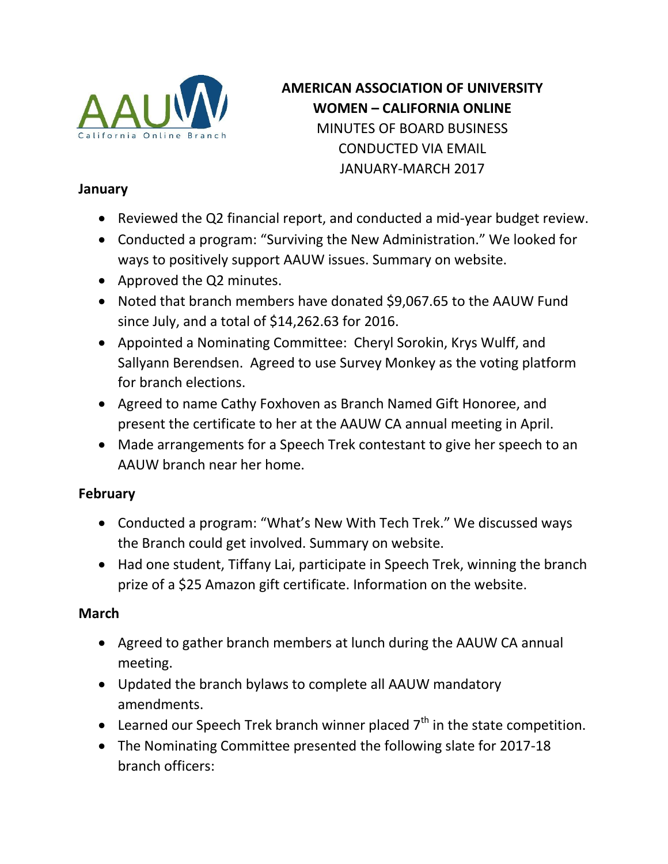

## **AMERICAN ASSOCIATION OF UNIVERSITY WOMEN – CALIFORNIA ONLINE** MINUTES OF BOARD BUSINESS CONDUCTED VIA EMAIL JANUARY-MARCH 2017

## **January**

- Reviewed the Q2 financial report, and conducted a mid-year budget review.
- Conducted a program: "Surviving the New Administration." We looked for ways to positively support AAUW issues. Summary on website.
- Approved the Q2 minutes.
- Noted that branch members have donated \$9,067.65 to the AAUW Fund since July, and a total of \$14,262.63 for 2016.
- Appointed a Nominating Committee: Cheryl Sorokin, Krys Wulff, and Sallyann Berendsen. Agreed to use Survey Monkey as the voting platform for branch elections.
- Agreed to name Cathy Foxhoven as Branch Named Gift Honoree, and present the certificate to her at the AAUW CA annual meeting in April.
- Made arrangements for a Speech Trek contestant to give her speech to an AAUW branch near her home.

## **February**

- Conducted a program: "What's New With Tech Trek." We discussed ways the Branch could get involved. Summary on website.
- Had one student, Tiffany Lai, participate in Speech Trek, winning the branch prize of a \$25 Amazon gift certificate. Information on the website.

## **March**

- Agreed to gather branch members at lunch during the AAUW CA annual meeting.
- Updated the branch bylaws to complete all AAUW mandatory amendments.
- **•** Learned our Speech Trek branch winner placed  $7<sup>th</sup>$  in the state competition.
- The Nominating Committee presented the following slate for 2017-18 branch officers: